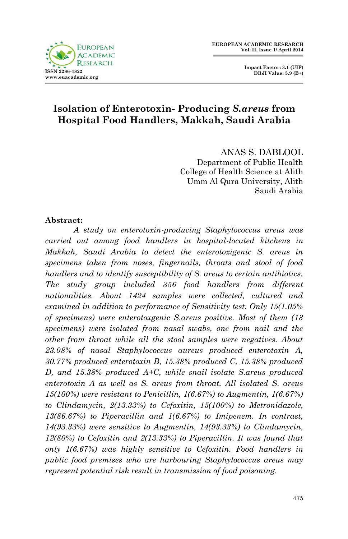



## **Isolation of Enterotoxin- Producing** *S.areus* **from Hospital Food Handlers, Makkah, Saudi Arabia**

ANAS S. DABLOOL Department of Public Health College of Health Science at Alith Umm Al Qura University, Alith Saudi Arabia

#### **Abstract:**

*A study on enterotoxin-producing Staphylococcus areus was carried out among food handlers in hospital-located kitchens in Makkah, Saudi Arabia to detect the enterotoxigenic S. areus in specimens taken from noses, fingernails, throats and stool of food handlers and to identify susceptibility of S. areus to certain antibiotics. The study group included 356 food handlers from different nationalities. About 1424 samples were collected, cultured and examined in addition to performance of Sensitivity test. Only 15(1.05% of specimens) were enterotoxgenic S.areus positive. Most of them (13 specimens) were isolated from nasal swabs, one from nail and the other from throat while all the stool samples were negatives. About 23.08% of nasal Staphylococcus aureus produced enterotoxin A, 30.77% produced enterotoxin B, 15.38% produced C, 15.38% produced D, and 15.38% produced A+C, while snail isolate S.areus produced enterotoxin A as well as S. areus from throat. All isolated S. areus 15(100%) were resistant to Penicillin, 1(6.67%) to Augmentin, 1(6.67%) to Clindamycin, 2(13.33%) to Cefoxitin, 15(100%) to Metronidazole, 13(86.67%) to Piperacillin and 1(6.67%) to Imipenem. In contrast, 14(93.33%) were sensitive to Augmentin, 14(93.33%) to Clindamycin, 12(80%) to Cefoxitin and 2(13.33%) to Piperacillin. It was found that only 1(6.67%) was highly sensitive to Cefoxitin. Food handlers in public food premises who are harbouring Staphylococcus areus may represent potential risk result in transmission of food poisoning.*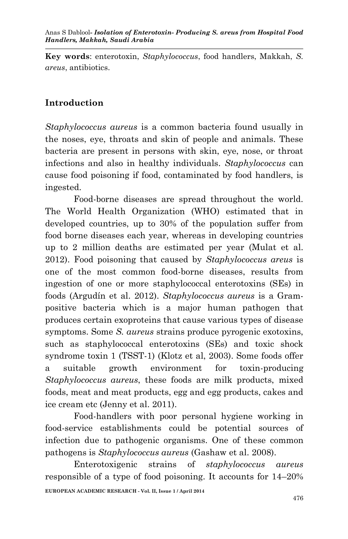**Key words**: enterotoxin, *Staphylococcus*, food handlers, Makkah, *S. areus*, antibiotics.

# **Introduction**

*Staphylococcus aureus* is a common bacteria found usually in the noses, eye, throats and skin of people and animals. These bacteria are present in persons with skin, eye, nose, or throat infections and also in healthy individuals. *Staphylococcus* can cause food poisoning if food, contaminated by food handlers, is ingested.

Food-borne diseases are spread throughout the world. The World Health Organization (WHO) estimated that in developed countries, up to 30% of the population suffer from food borne diseases each year, whereas in developing countries up to 2 million deaths are estimated per year (Mulat et al. 2012). Food poisoning that caused by *Staphylococcus areus* is one of the most common food-borne diseases, results from ingestion of one or more staphylococcal enterotoxins (SEs) in foods (Argudín et al. 2012). *Staphylococcus aureus* is a Grampositive bacteria which is a major human pathogen that produces certain exoproteins that cause various types of disease symptoms. Some *S. aureus* strains produce pyrogenic exotoxins, such as staphylococcal enterotoxins (SEs) and toxic shock syndrome toxin 1 (TSST-1) (Klotz et al, 2003). Some foods offer a suitable growth environment for toxin-producing *Staphylococcus aureus*, these foods are milk products, mixed foods, meat and meat products, egg and egg products, cakes and ice cream etc (Jenny et al. 2011).

Food-handlers with poor personal hygiene working in food-service establishments could be potential sources of infection due to pathogenic organisms. One of these common pathogens is *Staphylococcus aureus* (Gashaw et al. 2008).

**EUROPEAN ACADEMIC RESEARCH - Vol. II, Issue 1 / April 2014** Enterotoxigenic strains of *staphylococcus aureus*  responsible of a type of food poisoning. It accounts for 14–20%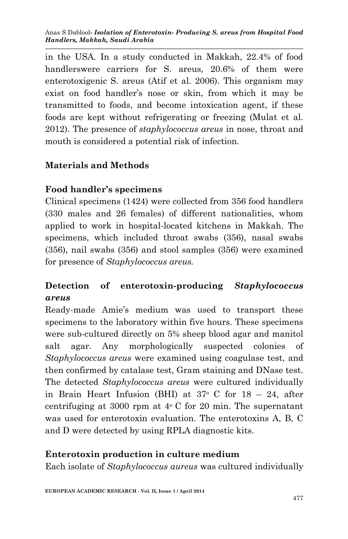Anas S Dablool*- Isolation of Enterotoxin- Producing S. areus from Hospital Food Handlers, Makkah, Saudi Arabia*

in the USA. In a study conducted in Makkah, 22.4% of food handlerswere carriers for S. areus, 20.6% of them were enterotoxigenic S. areus (Atif et al. 2006). This organism may exist on food handler's nose or skin, from which it may be transmitted to foods, and become intoxication agent, if these foods are kept without refrigerating or freezing (Mulat et al. 2012). The presence of *staphylococcus areus* in nose, throat and mouth is considered a potential risk of infection.

#### **Materials and Methods**

#### **Food handler's specimens**

Clinical specimens (1424) were collected from 356 food handlers (330 males and 26 females) of different nationalities, whom applied to work in hospital-located kitchens in Makkah. The specimens, which included throat swabs (356), nasal swabs (356), nail swabs (356) and stool samples (356) were examined for presence of *Staphylococcus areus.*

# **Detection of enterotoxin-producing** *Staphylococcus areus*

Ready-made Amie's medium was used to transport these specimens to the laboratory within five hours. These specimens were sub-cultured directly on 5% sheep blood agar and manitol salt agar. Any morphologically suspected colonies of *Staphylococcus areus* were examined using coagulase test, and then confirmed by catalase test, Gram staining and DNase test. The detected *Staphylococcus areus* were cultured individually in Brain Heart Infusion (BHI) at  $37^{\circ}$  C for  $18 - 24$ , after centrifuging at 3000 rpm at  $4^{\circ}$  C for 20 min. The supernatant was used for enterotoxin evaluation. The enterotoxins A, B, C and D were detected by using RPLA diagnostic kits.

#### **Enterotoxin production in culture medium**

Each isolate of *Staphylococcus aureus* was cultured individually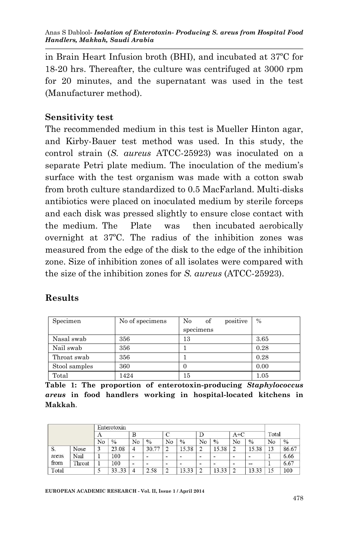in Brain Heart Infusion broth (BHI), and incubated at 37ºC for 18-20 hrs. Thereafter, the culture was centrifuged at 3000 rpm for 20 minutes, and the supernatant was used in the test (Manufacturer method).

### **Sensitivity test**

The recommended medium in this test is Mueller Hinton agar, and Kirby-Bauer test method was used. In this study, the control strain (*S. aureus* ATCC-25923) was inoculated on a separate Petri plate medium. The inoculation of the medium's surface with the test organism was made with a cotton swab from broth culture standardized to 0.5 MacFarland. Multi-disks antibiotics were placed on inoculated medium by sterile forceps and each disk was pressed slightly to ensure close contact with the medium. The Plate was then incubated aerobically overnight at 37ºC. The radius of the inhibition zones was measured from the edge of the disk to the edge of the inhibition zone. Size of inhibition zones of all isolates were compared with the size of the inhibition zones for *S. aureus* (ATCC-25923).

## **Results**

| Specimen      | No of specimens | No<br>positive<br>of | $\frac{0}{0}$ |
|---------------|-----------------|----------------------|---------------|
|               |                 | specimens            |               |
| Nasal swab    | 356             | 13                   | 3.65          |
| Nail swab     | 356             |                      | 0.28          |
| Throat swab   | 356             |                      | 0.28          |
| Stool samples | 360             | O                    | 0.00          |
| Total         | 1424            | 15                   | 1.05          |

**Table 1: The proportion of enterotoxin-producing** *Staphylococcus areus* **in food handlers working in hospital-located kitchens in Makkah**.

|       |        |    | Enterotoxin |    |       |    |               |    |       |       |       |       |       |
|-------|--------|----|-------------|----|-------|----|---------------|----|-------|-------|-------|-------|-------|
|       |        | A  |             | B  |       |    |               |    |       | $A+C$ |       | Total |       |
|       |        | No | $\%$        | No | $\%$  | No | $\frac{0}{0}$ | No | $\%$  | No    | $\%$  | No    | $\%$  |
| S.    | Nose   |    | 23.08       |    | 30.77 |    | 15.38         |    | 15.38 |       | 15.38 | 13    | 86.67 |
| areus | Nail   |    | 100         | -  | -     | -  | -             | -  | -     | -     | -     |       | 6.66  |
| from  | Throat |    | 100         | -  | -     | -  |               | -  | -     |       | $- -$ |       | 6.67  |
| Total |        |    | 33.33       |    | 2.58  | ∍  | 13.33         |    | 13.33 |       | 13.33 | 15    | 100   |

**EUROPEAN ACADEMIC RESEARCH - Vol. II, Issue 1 / April 2014**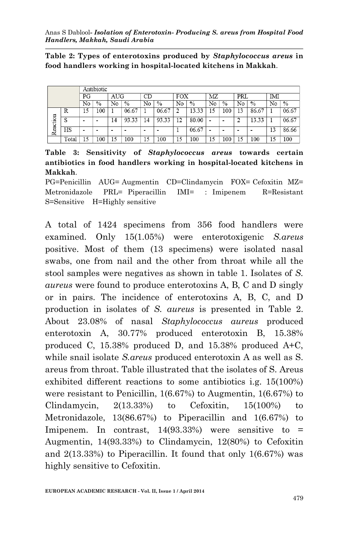**Table 2: Types of enterotoxins produced by** *Staphylococcus areus* **in food handlers working in hospital-located kitchens in Makkah**.

|          |       |    | Antibiotic |                 |       |    |       |                |       |    |      |        |       |     |       |
|----------|-------|----|------------|-----------------|-------|----|-------|----------------|-------|----|------|--------|-------|-----|-------|
|          |       | PG |            | AUG             |       | CD |       | <b>FOX</b>     |       | ΜZ |      | PRL    |       | IMI |       |
|          |       | No | $\%$       | No              | $\%$  | No | $\%$  | No             | $\%$  | No | $\%$ | No     | $\%$  | No  | $\%$  |
| Reaction | R     | 15 | .00        |                 | 06.67 |    | 06.67 | $\overline{c}$ | 13.33 | 15 | 100  | 13     | 86.67 |     | 06.67 |
|          | S     | -  |            | $\overline{14}$ | 93.33 | 14 | 93.33 | 12             | 80.00 | -  | -    | ∍<br>∠ | 13.33 |     | 06.67 |
|          | HS    | -  |            | -               |       | -  |       |                | 06.67 | -  | -    | -      |       | 13  | 86.66 |
|          | Total | 15 | .00        | 15              | 100   | 15 | 100   | 15             | 100   | 15 | 100  | 15     | 100   | 15  | 100   |

**Table 3: Sensitivity of** *Staphylococcus areus* **towards certain antibiotics in food handlers working in hospital-located kitchens in Makkah**.

PG=Penicillin AUG= Augmentin CD=Clindamycin FOX= Cefoxitin MZ= Metronidazole PRL= Piperacillin IMI= : Imipenem R=Resistant S=Sensitive H=Highly sensitive

A total of 1424 specimens from 356 food handlers were examined. Only 15(1.05%) were enterotoxigenic *S.areus* positive. Most of them (13 specimens) were isolated nasal swabs, one from nail and the other from throat while all the stool samples were negatives as shown in table 1. Isolates of *S. aureus* were found to produce enterotoxins A, B, C and D singly or in pairs. The incidence of enterotoxins A, B, C, and D production in isolates of *S. aureus* is presented in Table 2. About 23.08% of nasal *Staphylococcus aureus* produced enterotoxin A, 30.77% produced enterotoxin B, 15.38% produced C, 15.38% produced D, and 15.38% produced A+C, while snail isolate *S.areus* produced enterotoxin A as well as S. areus from throat. Table illustrated that the isolates of S. Areus exhibited different reactions to some antibiotics i.g. 15(100%) were resistant to Penicillin, 1(6.67%) to Augmentin, 1(6.67%) to Clindamycin,  $2(13.33%)$  to Cefoxitin,  $15(100%)$  to Metronidazole, 13(86.67%) to Piperacillin and 1(6.67%) to Imipenem. In contrast,  $14(93.33%)$  were sensitive to = Augmentin, 14(93.33%) to Clindamycin, 12(80%) to Cefoxitin and 2(13.33%) to Piperacillin. It found that only 1(6.67%) was highly sensitive to Cefoxitin.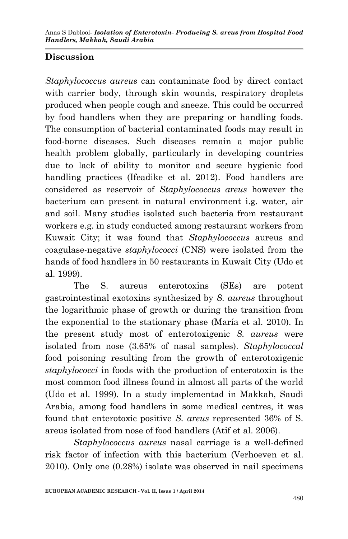# **Discussion**

*Staphylococcus aureus* can contaminate food by direct contact with carrier body, through skin wounds, respiratory droplets produced when people cough and sneeze. This could be occurred by food handlers when they are preparing or handling foods. The consumption of bacterial contaminated foods may result in food-borne diseases. Such diseases remain a major public health problem globally, particularly in developing countries due to lack of ability to monitor and secure hygienic food handling practices (Ifeadike et al. 2012). Food handlers are considered as reservoir of *Staphylococcus areus* however the bacterium can present in natural environment i.g. water, air and soil. Many studies isolated such bacteria from restaurant workers e.g. in study conducted among restaurant workers from Kuwait City; it was found that *Staphylococcus* aureus and coagulase-negative *staphylococci* (CNS) were isolated from the hands of food handlers in 50 restaurants in Kuwait City (Udo et al. 1999).

The S. aureus enterotoxins (SEs) are potent gastrointestinal exotoxins synthesized by *S. aureus* throughout the logarithmic phase of growth or during the transition from the exponential to the stationary phase (María et al. 2010). In the present study most of enterotoxigenic *S. aureus* were isolated from nose (3.65% of nasal samples). *Staphylococcal* food poisoning resulting from the growth of enterotoxigenic *staphylococci* in foods with the production of enterotoxin is the most common food illness found in almost all parts of the world (Udo et al. 1999). In a study implementad in Makkah, Saudi Arabia, among food handlers in some medical centres, it was found that enterotoxic positive *S. areus* represented 36% of S. areus isolated from nose of food handlers (Atif et al. 2006).

*Staphylococcus aureus* nasal carriage is a well-defined risk factor of infection with this bacterium (Verhoeven et al. 2010). Only one (0.28%) isolate was observed in nail specimens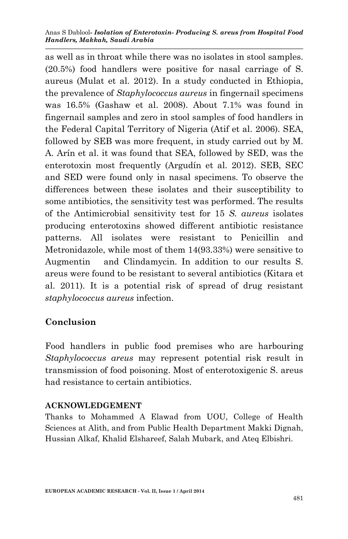#### Anas S Dablool*- Isolation of Enterotoxin- Producing S. areus from Hospital Food Handlers, Makkah, Saudi Arabia*

as well as in throat while there was no isolates in stool samples. (20.5%) food handlers were positive for nasal carriage of S. aureus (Mulat et al. 2012). In a study conducted in Ethiopia, the prevalence of *Staphylococcus aureus* in fingernail specimens was 16.5% (Gashaw et al. 2008). About 7.1% was found in fingernail samples and zero in stool samples of food handlers in the Federal Capital Territory of Nigeria (Atif et al. 2006). SEA, followed by SEB was more frequent, in study carried out by M. A. Arín et al. it was found that SEA, followed by SED, was the enterotoxin most frequently (Argudín et al. 2012). SEB, SEC and SED were found only in nasal specimens. To observe the differences between these isolates and their susceptibility to some antibiotics, the sensitivity test was performed. The results of the Antimicrobial sensitivity test for 15 *S. aureus* isolates producing enterotoxins showed different antibiotic resistance patterns. All isolates were resistant to Penicillin and Metronidazole, while most of them 14(93.33%) were sensitive to Augmentin and Clindamycin. In addition to our results S. areus were found to be resistant to several antibiotics (Kitara et al. 2011). It is a potential risk of spread of drug resistant *staphylococcus aureus* infection.

## **Conclusion**

Food handlers in public food premises who are harbouring *Staphylococcus areus* may represent potential risk result in transmission of food poisoning. Most of enterotoxigenic S. areus had resistance to certain antibiotics.

#### **ACKNOWLEDGEMENT**

Thanks to Mohammed A Elawad from UOU, College of Health Sciences at Alith, and from Public Health Department Makki Dignah, Hussian Alkaf, Khalid Elshareef, Salah Mubark, and Ateq Elbishri.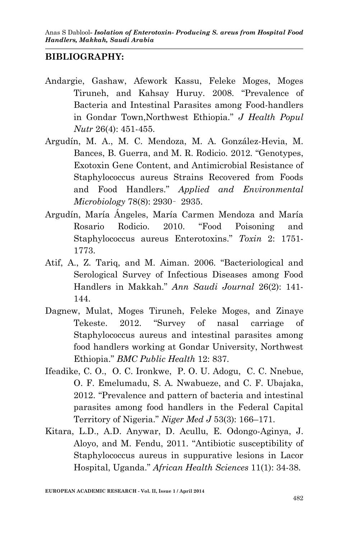#### **BIBLIOGRAPHY:**

- Andargie, Gashaw, Afework Kassu, Feleke Moges, Moges Tiruneh, and Kahsay Huruy. 2008. "Prevalence of Bacteria and Intestinal Parasites among Food-handlers in Gondar Town,Northwest Ethiopia." *J Health Popul Nutr* 26(4): 451-455.
- Argudín, M. A., M. C. Mendoza, M. A. González-Hevia, M. Bances, B. Guerra, and M. R. Rodicio. 2012. "Genotypes, Exotoxin Gene Content, and Antimicrobial Resistance of Staphylococcus aureus Strains Recovered from Foods and Food Handlers." *Applied and Environmental Microbiology* 78(8): 2930– 2935.
- Argudín, María Ángeles, María Carmen Mendoza and María Rosario Rodicio. 2010. "Food Poisoning and Staphylococcus aureus Enterotoxins." *Toxin* 2: 1751- 1773.
- Atif, A., Z. Tariq, and M. Aiman. 2006. "Bacteriological and Serological Survey of Infectious Diseases among Food Handlers in Makkah." *Ann Saudi Journal* 26(2): 141- 144.
- Dagnew, Mulat, Moges Tiruneh, Feleke Moges, and Zinaye Tekeste. 2012. "Survey of nasal carriage of Staphylococcus aureus and intestinal parasites among food handlers working at Gondar University, Northwest Ethiopia." *BMC Public Health* 12: 837.
- Ifeadike, C. O., O. C. Ironkwe, P. O. U. Adogu, C. C. Nnebue, O. F. Emelumadu, S. A. Nwabueze, and C. F. Ubajaka, 2012. "Prevalence and pattern of bacteria and intestinal parasites among food handlers in the Federal Capital Territory of Nigeria." *Niger Med J* 53(3): 166–171.
- Kitara, L.D., A.D. Anywar, D. Acullu, E. Odongo-Aginya, J. Aloyo, and M. Fendu, 2011. "Antibiotic susceptibility of Staphylococcus aureus in suppurative lesions in Lacor Hospital, Uganda." *African Health Sciences* 11(1): 34-38.